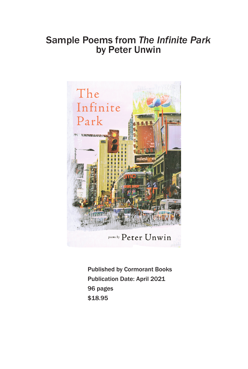## Sample Poems from *The Infinite Park* by Peter Unwin



Published by Cormorant Books Publication Date: April 2021 96 pages \$18.95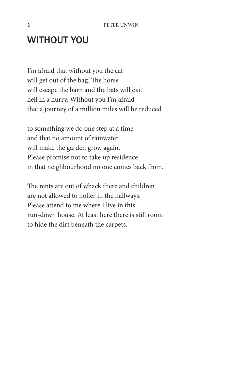## WITHOUT YOU

I'm afraid that without you the cat will get out of the bag. The horse will escape the barn and the bats will exit hell in a hurry. Without you I'm afraid that a journey of a million miles will be reduced

to something we do one step at a time and that no amount of rainwater will make the garden grow again. Please promise not to take up residence in that neighbourhood no one comes back from.

The rents are out of whack there and children are not allowed to holler in the hallways. Please attend to me where I live in this run-down house. At least here there is still room to hide the dirt beneath the carpets.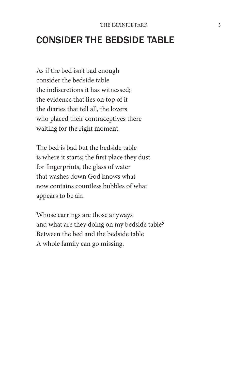## CONSIDER THE BEDSIDE TABLE

As if the bed isn't bad enough consider the bedside table the indiscretions it has witnessed; the evidence that lies on top of it the diaries that tell all, the lovers who placed their contraceptives there waiting for the right moment.

The bed is bad but the bedside table is where it starts; the first place they dust for fingerprints, the glass of water that washes down God knows what now contains countless bubbles of what appears to be air.

Whose earrings are those anyways and what are they doing on my bedside table? Between the bed and the bedside table A whole family can go missing.